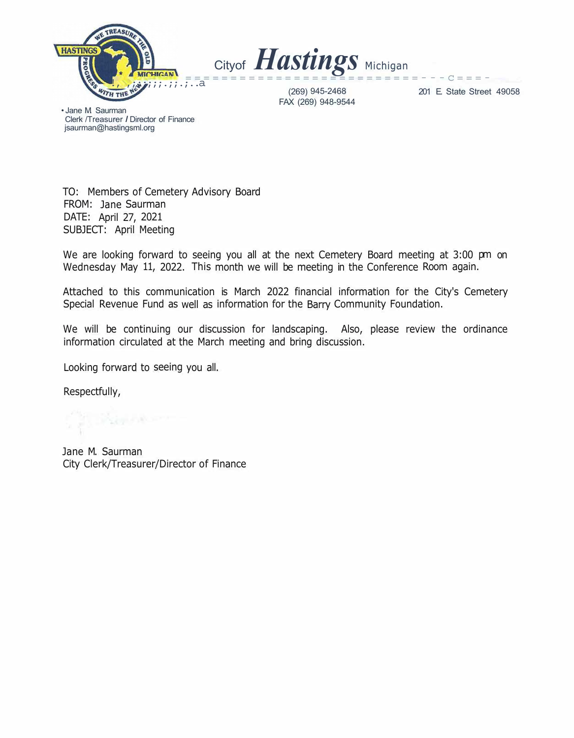



(269) 945-2468 FAX (269) 948-9544

201 E. State Street 49058

• Jane M. Saurman Clerk /Treasurer *I* Director of Finance jsaurman@hastingsml.org

TO: Members of Cemetery Advisory Board FROM: Jane Saurman DATE: April 27, 2021 SUBJECT: April Meeting

We are looking forward to seeing you all at the next Cemetery Board meeting at 3:00 pm on Wednesday May 11, 2022. This month we will be meeting in the Conference Room again.

Attached to this communication is March 2022 financial information for the City's Cemetery Special Revenue Fund as well as information for the Barry Community Foundation.

We will be continuing our discussion for landscaping. Also, please review the ordinance information circulated at the March meeting and bring discussion.

Looking forward to seeing you all.

Respectfully,

Jane M. Saurman City Clerk/Treasurer/Director of Finance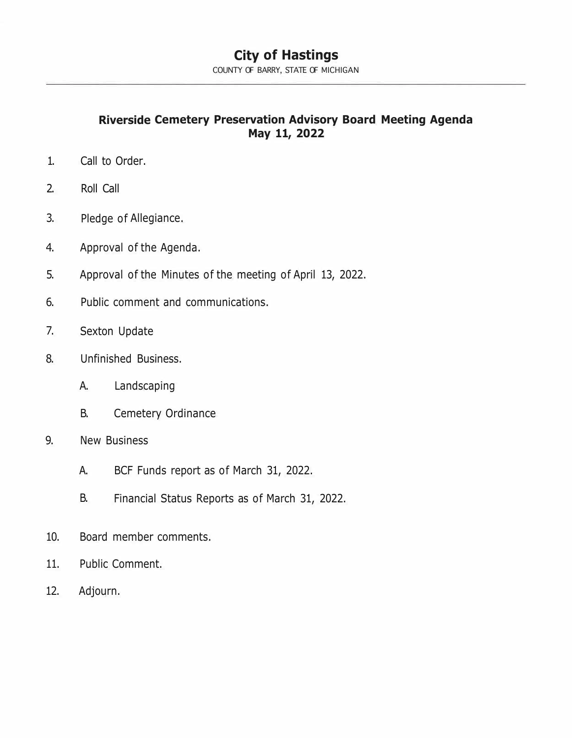## **City of Hastings**

COUNTY OF BARRY, STATE OF MICHIGAN

**Riverside Cemetery Preservation Advisory Board Meeting Agenda May 11, 2022** 

- 1. Call to Order.
- 2. Roll Call
- 3. Pledge of Allegiance.
- 4. Approval of the Agenda.
- 5. Approval of the Minutes of the meeting of April 13, 2022.
- 6. Public comment and communications.
- 7. Sexton Update
- 8. Unfinished Business.
	- A. Landscaping
	- B. Cemetery Ordinance
- 9. New Business
	- A. BCF Funds report as of March 31, 2022.
	- B. Financial Status Reports as of March 31, 2022.
- 10. Board member comments.
- 11. Public Comment.
- 12. Adjourn.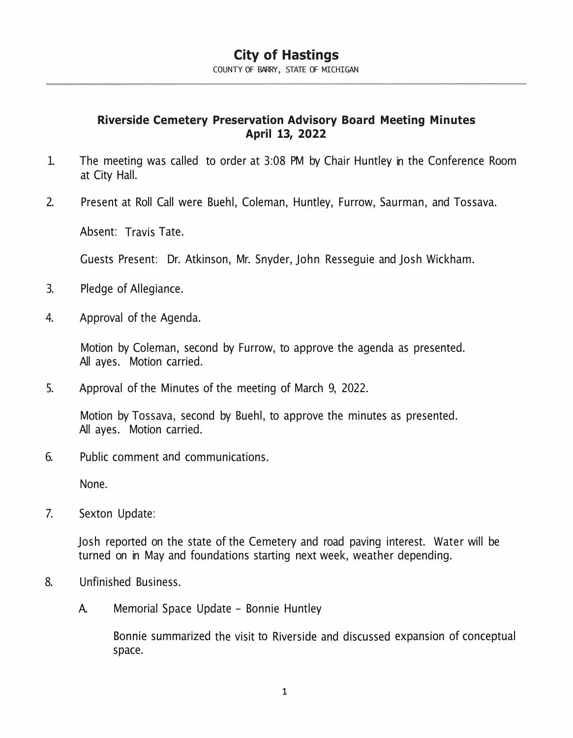# **City of Hastings**

COUNTY OF BARRY, STATE OF MICHIGAN

### **Riverside Cemetery Preservation Advisory Board Meeting Minutes April 13, 2022**

- 1. The meeting was called to order at 3:08 PM by Chair Huntley in the Conference Room at City Hall.
- 2. Present at Roll Call were Buehl, Coleman, Huntley, Furrow, Saurman, and Tossava.

Absent: Travis Tate.

Guests Present: Dr. Atkinson, Mr. Snyder, John Resseguie and Josh Wickham.

- 3. Pledge of Allegiance.
- 4. Approval of the Agenda.

Motion by Coleman, second by Furrow, to approve the agenda as presented. All ayes. Motion carried.

5. Approval of the Minutes of the meeting of March 9, 2022.

Motion by Tossava, second by Buehl, to approve the minutes as presented. All ayes. Motion carried.

6. Public comment and communications.

None.

7. Sexton Update:

Josh reported on the state of the Cemetery and road paving interest. Water will be turned on in May and foundations starting next week, weather depending.

- 8. Unfinished Business.
	- A. Memorial Space Update Bonnie Huntley

Bonnie summarized the visit to Riverside and discussed expansion of conceptual space.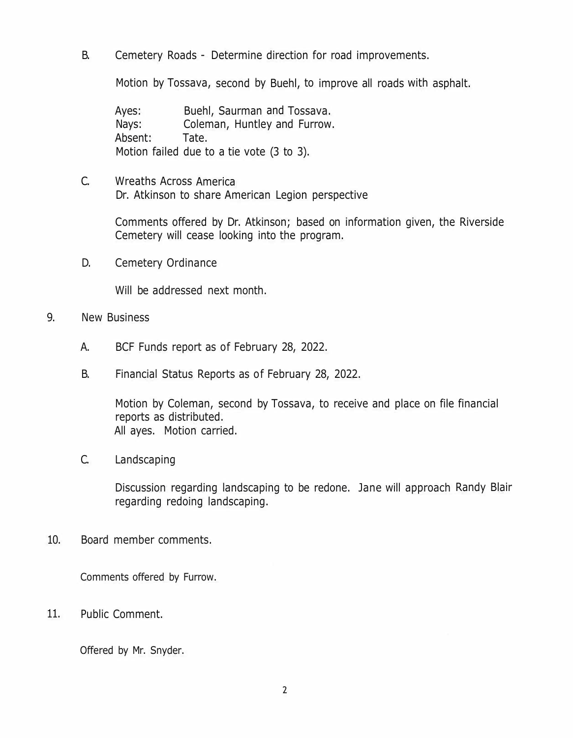B. Cemetery Roads - Determine direction for road improvements.

Motion by Tossava, second by Buehl, to improve all roads with asphalt.

Ayes: Buehl, Saurman and Tossava. Nays: Coleman, Huntley and Furrow. Absent: Tate. Motion failed due to a tie vote (3 to 3).

C. Wreaths Across America Dr. Atkinson to share American Legion perspective

> Comments offered by Dr. Atkinson; based on information given, the Riverside Cemetery will cease looking into the program.

D. Cemetery Ordinance

Will be addressed next month.

- 9. New Business
	- A. BCF Funds report as of February 28, 2022.
	- B. Financial Status Reports as of February 28, 2022.

Motion by Coleman, second by Tossava, to receive and place on file financial reports as distributed. All ayes. Motion carried.

C. Landscaping

Discussion regarding landscaping to be redone. Jane will approach Randy Blair regarding redoing landscaping.

10. Board member comments.

Comments offered by Furrow.

11. Public Comment.

Offered by Mr. Snyder.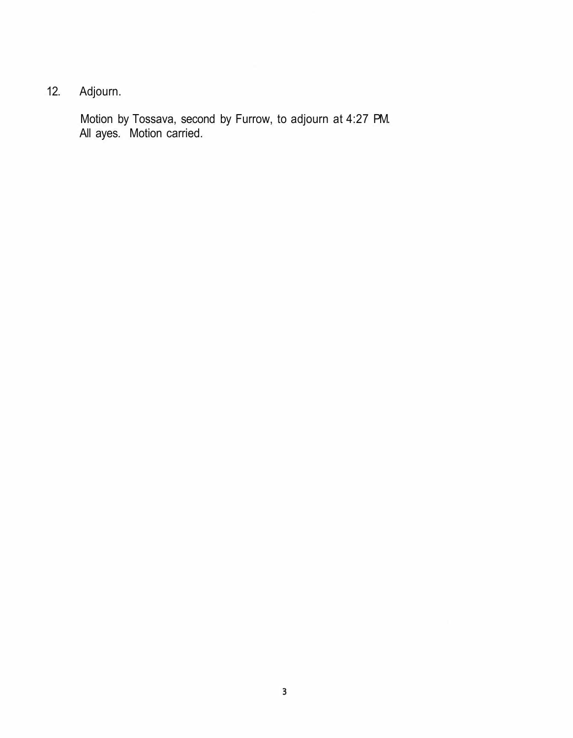# 12. Adjourn.

Motion by Tossava, second by Furrow, to adjourn at 4:27 PM. All ayes. Motion carried.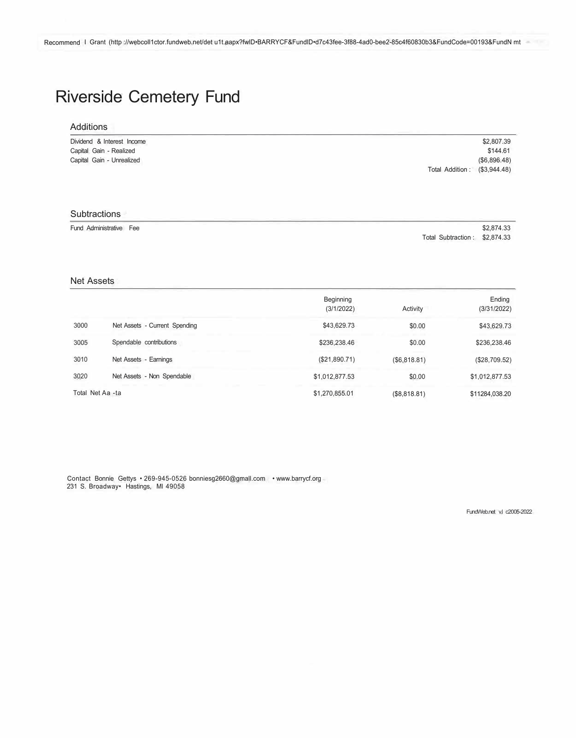# Riverside Cemetery Fund

| Additions                  |                                |
|----------------------------|--------------------------------|
| Dividend & Interest Income | \$2,807.39                     |
| Capital Gain - Realized    | \$144.61                       |
| Capital Gain - Unrealized  | (S6, 896.48)                   |
|                            | Total Addition:<br>(S3,944,48) |

#### **Subtractions** Fund Administrative Fee \$2,874.33 Total Subtraction : \$2,874.33

Net Assets

|                  |                               | <b>Beginning</b><br>(3/1/2022) | Activity     | Ending<br>(3/31/2022) |
|------------------|-------------------------------|--------------------------------|--------------|-----------------------|
| 3000             | Net Assets - Current Spending | \$43,629.73                    | \$0.00       | \$43,629.73           |
| 3005             | Spendable contributions       | \$236,238.46                   | \$0.00       | \$236,238.46          |
| 3010             | Net Assets - Earnings         | (\$21,890.71)                  | (S6, 818.81) | (\$28,709.52)         |
| 3020             | Net Assets - Non Spendable    | \$1,012,877.53                 | \$0.00       | \$1,012,877.53        |
| Total Net Aa -ta |                               | \$1,270,855.01                 | (\$8,818.81) | \$11284,038.20        |

Contact Bonnie Gettys • 269-945-0526 bonniesg2660@gmall.com • www.barrycf.org 231 S. Broadway• Hastings, Ml 49058

FundWeb.net vl c2005-2022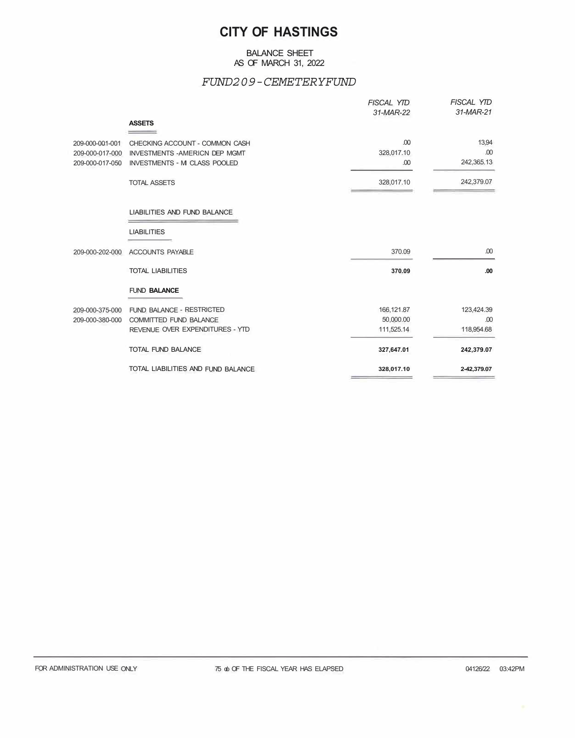### **CITY OF HASTINGS**

#### BALANCE SHEET AS OF MARCH 31, 2022

#### *FUND209-CEMETERYFUND*

|                 |                                       | <b>FISCAL YTD</b><br>31-MAR-22 | <b>FISCAL YTD</b><br>31-MAR-21 |
|-----------------|---------------------------------------|--------------------------------|--------------------------------|
|                 | <b>ASSETS</b>                         |                                |                                |
| 209-000-001-001 | CHECKING ACCOUNT - COMMON CASH        | .00                            | 13,94                          |
| 209-000-017-000 | <b>INVESTMENTS - AMERICN DEP MGMT</b> | 328,017.10                     | .00                            |
| 209-000-017-050 | <b>INVESTMENTS - M CLASS POOLED</b>   | .00                            | 242,365.13                     |
|                 | <b>TOTAL ASSETS</b>                   | 328,017.10                     | 242,379.07                     |
|                 | LIABILITIES AND FUND BALANCE          |                                |                                |
|                 | <b>LIABILITIES</b>                    |                                |                                |
| 209-000-202-000 | <b>ACCOUNTS PAYABLE</b>               | 370.09                         | .00                            |
|                 | <b>TOTAL LIABILITIES</b>              | 370.09                         | .00.                           |
|                 | <b>FUND BALANCE</b>                   |                                |                                |
| 209-000-375-000 | FUND BALANCE - RESTRICTED             | 166,121.87                     | 123,424.39                     |
| 209-000-380-000 | <b>COMMITTED FUND BALANCE</b>         | 50,000.00                      | .00                            |
|                 | REVENUE OVER EXPENDITURES - YTD       | 111,525.14                     | 118,954.68                     |
|                 | TOTAL FUND BALANCE                    | 327,647.01                     | 242,379.07                     |
|                 | TOTAL LIABILITIES AND FUND BALANCE    | 328,017.10                     | 2-42,379.07                    |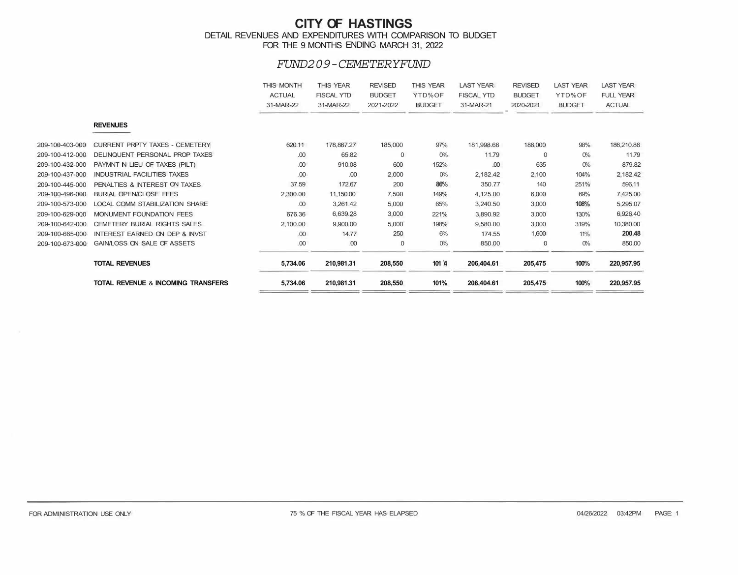#### **CITY OF HASTINGS**  DETAIL REVENUES AND EXPENDITURES WITH COMPARISON TO BUDGET FOR THE 9 MONTHS ENDING MARCH 31, 2022

#### *FUND209-CEMETERYFUND*

|                 |                                               | THIS MONTH<br><b>ACTUAL</b><br>31-MAR-22 | <b>THIS YEAR</b><br><b>FISCAL YTD</b><br>31-MAR-22 | <b>REVISED</b><br><b>BUDGET</b><br>2021-2022 | <b>THIS YEAR</b><br>YTD%OF<br><b>BUDGET</b> | <b>LAST YEAR</b><br><b>FISCAL YTD</b><br>31-MAR-21 | <b>REVISED</b><br><b>BUDGET</b><br>2020-2021 | <b>LAST YEAR</b><br>YTD%OF<br><b>BUDGET</b> | <b>LAST YEAR</b><br><b>FULL YEAR</b><br><b>ACTUAL</b> |
|-----------------|-----------------------------------------------|------------------------------------------|----------------------------------------------------|----------------------------------------------|---------------------------------------------|----------------------------------------------------|----------------------------------------------|---------------------------------------------|-------------------------------------------------------|
|                 | <b>REVENUES</b>                               |                                          |                                                    |                                              |                                             |                                                    |                                              |                                             |                                                       |
| 209-100-403-000 | <b>CURRENT PRPTY TAXES - CEMETERY</b>         | 620.11                                   | 178,867,27                                         | 185,000                                      | 97%                                         | 181,998.66                                         | 186,000                                      | 98%                                         | 186,210.86                                            |
| 209-100-412-000 | DELINQUENT PERSONAL PROP TAXES                | .00                                      | 65.82                                              | $\Omega$                                     | $O\%$                                       | 11.79                                              | 0                                            | $O\%$                                       | 11.79                                                 |
| 209-100-432-000 | PAYMNT N LIEU OF TAXES (PILT)                 | .00                                      | 910.08                                             | 600                                          | 152%                                        | .00                                                | 635                                          | $O\%$                                       | 879.82                                                |
| 209-100-437-000 | <b>INDUSTRIAL FACILITIES TAXES</b>            | .00                                      | .00                                                | 2,000                                        | $O\%$                                       | 2,182.42                                           | 2,100                                        | 104%                                        | 2,182.42                                              |
| 209-100-445-000 | PENALTIES & INTEREST ON TAXES                 | 37.59                                    | 172.67                                             | 200                                          | 86%                                         | 350.77                                             | 140                                          | 251%                                        | 596.11                                                |
| 209-100-496-000 | <b>BURIAL OPEN/CLOSE FEES</b>                 | 2,300.00                                 | 11,150.00                                          | 7,500                                        | 149%                                        | 4,125.00                                           | 6,000                                        | 69%                                         | 7,425.00                                              |
| 209-100-573-000 | <b>LOCAL COMM STABILIZATION SHARE</b>         | .00                                      | 3,261.42                                           | 5,000                                        | 65%                                         | 3,240.50                                           | 3,000                                        | 108%                                        | 5,295.07                                              |
| 209-100-629-000 | MONUMENT FOUNDATION FEES                      | 676.36                                   | 6,639.28                                           | 3,000                                        | 221%                                        | 3,890.92                                           | 3,000                                        | 130%                                        | 6,926.40                                              |
| 209-100-642-000 | <b>CEMETERY BURIAL RIGHTS SALES</b>           | 2,100.00                                 | 9,900.00                                           | 5,000                                        | 198%                                        | 9,580.00                                           | 3,000                                        | 319%                                        | 10,380.00                                             |
| 209-100-665-000 | INTEREST EARNED ON DEP & INVST                | .00                                      | 14.77                                              | 250                                          | 6%                                          | 174.55                                             | 1,600                                        | 11%                                         | 200.48                                                |
| 209-100-673-000 | GAIN/LOSS ON SALE OF ASSETS                   | .00                                      | .00                                                | $\Omega$                                     | $O\%$                                       | 850.00                                             | $\mathbf{0}$                                 | $O_0$                                       | 850.00                                                |
|                 | <b>TOTAL REVENUES</b>                         | 5,734.06                                 | 210,981.31                                         | 208,550                                      | 101 $A$                                     | 206,404.61                                         | 205,475                                      | 100%                                        | 220,957.95                                            |
|                 | <b>TOTAL REVENUE &amp; INCOMING TRANSFERS</b> | 5,734.06                                 | 210,981.31                                         | 208,550                                      | 101%                                        | 206,404.61                                         | 205,475                                      | 100%                                        | 220,957.95                                            |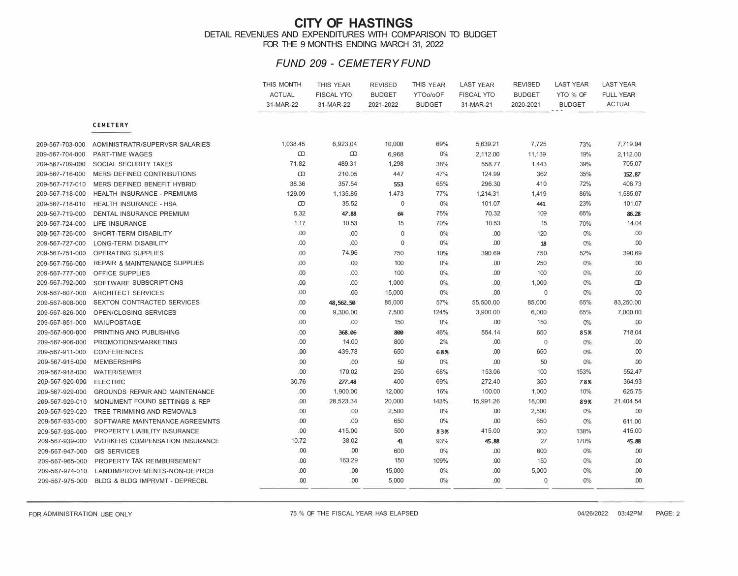#### **CITY OF HASTINGS**  DETAIL REVENUES AND EXPENDITURES WITH COMPARISON TO BUDGET FOR THE 9 MONTHS ENDING MARCH 31, 2022

#### *FUND 209 - CEMETERY FUND*

|                 |                                          | THIS MONTH<br><b>ACTUAL</b><br>31-MAR-22 | <b>THIS YEAR</b><br><b>FISCAL YTO</b><br>31-MAR-22 | <b>REVISED</b><br><b>BUDGET</b><br>2021-2022 | THIS YEAR<br>YTOo/oOF<br><b>BUDGET</b> | <b>LAST YEAR</b><br><b>FISCAL YTO</b><br>31-MAR-21 | <b>REVISED</b><br><b>BUDGET</b><br>2020-2021 | <b>LAST YEAR</b><br>YTO % OF<br><b>BUDGET</b> | <b>LAST YEAR</b><br><b>FULL YEAR</b><br><b>ACTUAL</b> |
|-----------------|------------------------------------------|------------------------------------------|----------------------------------------------------|----------------------------------------------|----------------------------------------|----------------------------------------------------|----------------------------------------------|-----------------------------------------------|-------------------------------------------------------|
|                 | <b>CEMETERY</b>                          |                                          |                                                    |                                              |                                        |                                                    |                                              |                                               |                                                       |
| 209-567-703-000 | AOMINISTRATR/SUPERVSR SALARIES           | 1,038.45                                 | 6,923.04                                           | 10,000                                       | 69%                                    | 5,639.21                                           | 7,725                                        | 73%                                           | 7,719.04                                              |
| 209-567-704-000 | <b>PART-TIME WAGES</b>                   | $\infty$                                 | $\infty$                                           | 6,968                                        | $0\%$                                  | 2,112.00                                           | 11,139                                       | 19%                                           | 2,112.00                                              |
| 209-567-709-000 | SOCIAL SECURITY TAXES                    | 71.82                                    | 489.31                                             | 1,298                                        | 38%                                    | 558.77                                             | 1.443                                        | 39%                                           | 705.07                                                |
| 209-567-716-000 | MERS DEFINED CONTRIBUTIONS               | $\omega$                                 | 210.05                                             | 447                                          | 47%                                    | 124.99                                             | 362                                          | 35%                                           | 152.87                                                |
| 209-567-717-010 | MERS DEFINED BENEFIT HYBRID              | 38.36                                    | 357.54                                             | 553                                          | 65%                                    | 296.30                                             | 410                                          | 72%                                           | 406.73                                                |
| 209-567-718-000 | HEALTH INSURANCE - PREMIUMS              | 129.09                                   | 1,135.85                                           | 1.473                                        | 77%                                    | 1,214.31                                           | 1,419                                        | 86%                                           | 1,585.07                                              |
| 209-567-718-010 | <b>HEALTH INSURANCE - HSA</b>            | $\infty$                                 | 35.52                                              | $\mathbf 0$                                  | 0%                                     | 101.07                                             | 441                                          | 23%                                           | 101.07                                                |
| 209-567-719-000 | <b>DENTAL INSURANCE PREMIUM</b>          | 5.32                                     | 47.88                                              | 64                                           | 75%                                    | 70.32                                              | 109                                          | 65%                                           | 86.28                                                 |
| 209-567-724-000 | <b>LIFE INSURANCE</b>                    | 1.17                                     | 10.53                                              | 15                                           | 70%                                    | 10.53                                              | 15                                           | 70%                                           | 14.04                                                 |
| 209-567-726-000 | SHORT-TERM DISABILITY                    | .00                                      | .00                                                | $\mathbf 0$                                  | 0%                                     | .00                                                | 120                                          | $0\%$                                         | .00                                                   |
| 209-567-727-000 | <b>LONG-TERM DISABILITY</b>              | .00                                      | .00                                                | $\mathbf{0}$                                 | 0%                                     | .00                                                | 18                                           | 0%                                            | .00                                                   |
| 209-567-751-000 | <b>OPERATING SUPPLIES</b>                | .00                                      | 74.96                                              | 750                                          | 10%                                    | 390.69                                             | 750                                          | 52%                                           | 390.69                                                |
| 209-567-756-000 | <b>REPAIR &amp; MAINTENANCE SUPPLIES</b> | .00                                      | .00.                                               | 100                                          | $0\%$                                  | .00                                                | 250                                          | $0\%$                                         | .00                                                   |
| 209-567-777-000 | <b>OFFICE SUPPLIES</b>                   | .00                                      | .00.                                               | 100                                          | $0\%$                                  | .00                                                | 100                                          | $0\%$                                         | .00                                                   |
| 209-567-792-000 | SOFTWARE SUBSCRIPTIONS                   | .00                                      | .00                                                | 1,000                                        | 0%                                     | .00                                                | 1,000                                        | 0%                                            | $\infty$                                              |
| 209-567-807-000 | <b>ARCHITECT SERVICES</b>                | .00                                      | .00                                                | 15,000                                       | 0%                                     | .00                                                | $\mathbf 0$                                  | 0%                                            | .00                                                   |
| 209-567-808-000 | SEXTON CONTRACTED SERVICES               | .00                                      | 48,562.50                                          | 85,000                                       | 57%                                    | 55,500.00                                          | 85,000                                       | 65%                                           | 83,250.00                                             |
| 209-567-826-000 | OPEN/CLOSING SERVICES                    | .00                                      | 9,300.00                                           | 7,500                                        | 124%                                   | 3,900.00                                           | 6,000                                        | 65%                                           | 7,000.00                                              |
| 209-567-851-000 | <b>MAIUPOSTAGE</b>                       | .00                                      | .00                                                | 150                                          | $0\%$                                  | .00                                                | 150                                          | 0%                                            | .00                                                   |
| 209-567-900-000 | PRINTING ANO PUBLISHING                  | .00                                      | 368.06                                             | 800                                          | 46%                                    | 554.14                                             | 650                                          | 85%                                           | 718.04                                                |
| 209-567-906-000 | PROMOTIONS/MARKETING                     | .00                                      | 14.00                                              | 800                                          | 2%                                     | .00                                                | $\mathbf 0$                                  | $0\%$                                         | .00                                                   |
| 209-567-911-000 | <b>CONFERENCES</b>                       | .00                                      | 439.78                                             | 650                                          | 68%                                    | .00                                                | 650                                          | 0%                                            | .00                                                   |
| 209-567-915-000 | <b>MEMBERSHIPS</b>                       | .00                                      | .00                                                | 50                                           | $0\%$                                  | .00                                                | 50                                           | 0%                                            | .00                                                   |
| 209-567-918-000 | <b>WATER/SEWER</b>                       | .00                                      | 170.02                                             | 250                                          | 68%                                    | 153.06                                             | 100                                          | 153%                                          | 552.47                                                |
| 209-567-920-000 | <b>ELECTRIC</b>                          | 30.76                                    | 277.48                                             | 400                                          | 69%                                    | 272.40                                             | 350                                          | 78%                                           | 364.93                                                |
| 209-567-929-000 | GROUNDS REPAIR AND MAINTENANCE           | .00                                      | 1,900.00                                           | 12,000                                       | 16%                                    | 100.00                                             | 1,000                                        | 10%                                           | 625.75                                                |
| 209-567-929-010 | <b>MONUMENT FOUND SETTINGS &amp; REP</b> | .00                                      | 28,523.34                                          | 20,000                                       | 143%                                   | 15,991.26                                          | 18,000                                       | 89%                                           | 21.404.54                                             |
| 209-567-929-020 | TREE TRIMMING AND REMOVALS               | .00                                      | .00.                                               | 2,500                                        | 0%                                     | .00                                                | 2,500                                        | 0%                                            | .00                                                   |
| 209-567-933-000 | SOFTWARE MAINTENANCE AGREEMNTS           | .00                                      | .00                                                | 650                                          | $0\%$                                  | .00                                                | 650                                          | 0%                                            | 611.00                                                |
| 209-567-935-000 | PROPERTY LIABILITY INSURANCE             | .00                                      | 415.00                                             | 500                                          | 83%                                    | 415.00                                             | 300                                          | 138%                                          | 415.00                                                |
| 209-567-939-000 | <b>VVORKERS COMPENSATION INSURANCE</b>   | 10.72                                    | 38.02                                              | 41                                           | 93%                                    | 45.88                                              | 27                                           | 170%                                          | 45.88                                                 |
| 209-567-947-000 | <b>GIS SERVICES</b>                      | .00                                      | .00                                                | 600                                          | 0%                                     | .00                                                | 600                                          | 0%                                            | .00                                                   |
| 209-567-965-000 | PROPERTY TAX REIMBURSEMENT               | .00                                      | 163.29                                             | 150                                          | 109%                                   | .00                                                | 150                                          | $0\%$                                         | .00                                                   |
| 209-567-974-010 | LANDIMPROVEMENTS-NON-DEPRCB              | .00                                      | .00                                                | 15,000                                       | 0%                                     | .00                                                | 5,000                                        | 0%                                            | .00                                                   |
| 209-567-975-000 | BLDG & BLDG IMPRVMT - DEPRECBL           | .00                                      | .00                                                | 5,000                                        | $0\%$                                  | .00                                                | $\mathbf{0}$                                 | 0%                                            | .00                                                   |